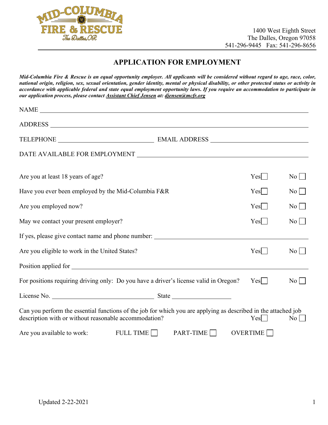

## **APPLICATION FOR EMPLOYMENT**

*Mid-Columbia Fire & Rescue is an equal opportunity employer. All applicants will be considered without regard to age, race, color, national origin, religion, sex, sexual orientation, gender identity, mental or physical disability, or other protected status or activity in accordance with applicable federal and state equal employment opportunity laws***.** *If you require an accommodation to participate in our application process, please contact Assistant Chief Jensen at: djensen@mcfr.org*

| Are you at least 18 years of age?                                                                                                                                       |             | Yes                     | No                 |
|-------------------------------------------------------------------------------------------------------------------------------------------------------------------------|-------------|-------------------------|--------------------|
| Have you ever been employed by the Mid-Columbia F&R                                                                                                                     |             | Yes                     | $\overline{N_{0}}$ |
| Are you employed now?                                                                                                                                                   |             | Yes                     | $\overline{N_{0}}$ |
| May we contact your present employer?                                                                                                                                   |             | Yes                     | $\overline{N_0}$   |
| If yes, please give contact name and phone number: _____________________________                                                                                        |             |                         |                    |
| Are you eligible to work in the United States?                                                                                                                          |             | Yes                     | $\overline{N_0}$   |
|                                                                                                                                                                         |             |                         |                    |
| For positions requiring driving only: Do you have a driver's license valid in Oregon?                                                                                   |             | $Yes$                   | $\overline{N_0}$   |
|                                                                                                                                                                         |             |                         |                    |
| Can you perform the essential functions of the job for which you are applying as described in the attached job<br>description with or without reasonable accommodation? |             | $Yes$                   | $\overline{N_0}$   |
| FULL TIME $\Box$<br>Are you available to work:                                                                                                                          | $PART-TIME$ | OVERTIME <sup>[1]</sup> |                    |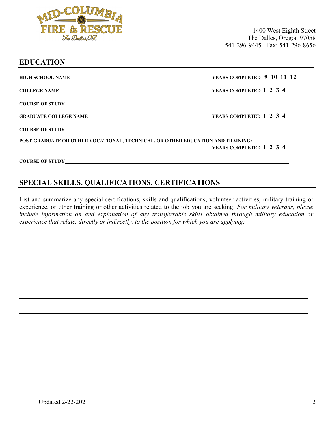

## **EDUCATION**

| COLLEGE NAME VEARS COMPLETED 1 2 3 4                                           |                         |
|--------------------------------------------------------------------------------|-------------------------|
|                                                                                |                         |
|                                                                                |                         |
|                                                                                |                         |
| POST-GRADUATE OR OTHER VOCATIONAL, TECHNICAL, OR OTHER EDUCATION AND TRAINING: | YEARS COMPLETED 1 2 3 4 |
|                                                                                |                         |

# **SPECIAL SKILLS, QUALIFICATIONS, CERTIFICATIONS**

List and summarize any special certifications, skills and qualifications, volunteer activities, military training or experience, or other training or other activities related to the job you are seeking. *For military veterans, please include information on and explanation of any transferrable skills obtained through military education or experience that relate, directly or indirectly, to the position for which you are applying:*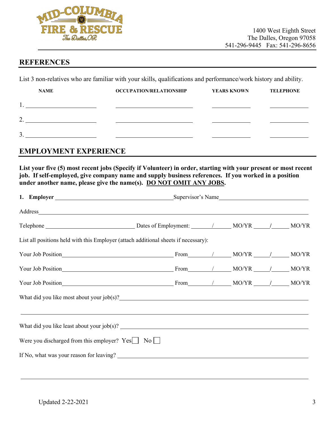

## **REFERENCES**

List 3 non-relatives who are familiar with your skills, qualifications and performance/work history and ability.

| <b>NAME</b>   | <b>OCCUPATION/RELATIONSHIP</b> | <b>YEARS KNOWN</b> | <b>TELEPHONE</b> |
|---------------|--------------------------------|--------------------|------------------|
|               |                                |                    |                  |
| ◠<br><u>.</u> |                                |                    |                  |
| 3             |                                |                    |                  |

## **EMPLOYMENT EXPERIENCE**

**List your five (5) most recent jobs (Specify if Volunteer) in order, starting with your present or most recent job. If self-employed, give company name and supply business references. If you worked in a position under another name, please give the name(s). DO NOT OMIT ANY JOBS.**

| Address_ the contract of the contract of the contract of the contract of the contract of the contract of the contract of the contract of the contract of the contract of the contract of the contract of the contract of the c |                                                                                                                                                                                                                               |  |  |  |
|--------------------------------------------------------------------------------------------------------------------------------------------------------------------------------------------------------------------------------|-------------------------------------------------------------------------------------------------------------------------------------------------------------------------------------------------------------------------------|--|--|--|
|                                                                                                                                                                                                                                |                                                                                                                                                                                                                               |  |  |  |
| List all positions held with this Employer (attach additional sheets if necessary):                                                                                                                                            |                                                                                                                                                                                                                               |  |  |  |
|                                                                                                                                                                                                                                | Your Job Position MO/YR MO/YR MO/YR                                                                                                                                                                                           |  |  |  |
| Your Job Position MO/YR MO/YR MO/YR MO/YR                                                                                                                                                                                      |                                                                                                                                                                                                                               |  |  |  |
|                                                                                                                                                                                                                                | Your Job Position MO/YR MO/YR MO/YR MO/YR MO/YR MO/YR MO/YR MO/YR MO/YR MO/YR MO/YR MO/YR MO/YR MO/YR MO/YR MO/YR MO/YR MO/YR MO/YR MO/YR MO/YR MO/YR MO/YR MO/YR MO/YR MO/YR MO/YR MO/YR MO/YR MO/YR MO/YR MO/YR MO/YR MO/YR |  |  |  |
| What did you like most about your job(s)?<br><u>Letting</u> the most about your job(s)?                                                                                                                                        |                                                                                                                                                                                                                               |  |  |  |
|                                                                                                                                                                                                                                |                                                                                                                                                                                                                               |  |  |  |
|                                                                                                                                                                                                                                |                                                                                                                                                                                                                               |  |  |  |
| Were you discharged from this employer? $Yes$ $\Box$ No $\Box$                                                                                                                                                                 |                                                                                                                                                                                                                               |  |  |  |
|                                                                                                                                                                                                                                |                                                                                                                                                                                                                               |  |  |  |
|                                                                                                                                                                                                                                |                                                                                                                                                                                                                               |  |  |  |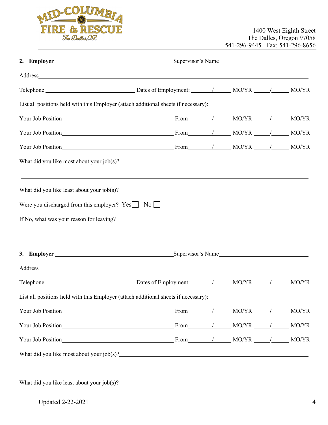

|                                                         | Address_ the contract of the contract of the contract of the contract of the contract of the contract of the contract of the contract of the contract of the contract of the contract of the contract of the contract of the c |  |  |
|---------------------------------------------------------|--------------------------------------------------------------------------------------------------------------------------------------------------------------------------------------------------------------------------------|--|--|
|                                                         |                                                                                                                                                                                                                                |  |  |
|                                                         | List all positions held with this Employer (attach additional sheets if necessary):                                                                                                                                            |  |  |
|                                                         | Your Job Position MO/YR MO/YR MO/YR MO/YR MO/YR MO/YR MO/YR MO/YR MO/YR MO/YR MO/YR MO/YR MO/YR MO/YR MO/YR MO/YR MO/YR MO/YR MO/YR MO/YR MO/YR MO/YR MO/YR MO/YR MO/YR MO/YR MO/YR MO/YR MO/YR MO/YR MO/YR MO/YR MO/YR MO/YR  |  |  |
|                                                         | Your Job Position MO/YR MO/YR MO/YR MO/YR MO/YR MO/YR MO/YR MO/YR MO/YR MO/YR MO/YR MO/YR MO/YR MO/YR MO/YR MO/YR MO/YR MO/YR MO/YR MO/YR MO/YR MO/YR MO/YR MO/YR MO/YR MO/YR MO/YR MO/YR MO/YR MO/YR MO/YR MO/YR MO/YR MO/YR  |  |  |
|                                                         | Your Job Position MO/YR MO/YR MO/YR MO/YR MO/YR MO/YR MO/YR MO/YR MO/YR MO/YR MO/YR MO/YR MO/YR MO/YR MO/YR MO/YR MO/YR MO/YR MO/YR MO/YR MO/YR MO/YR MO/YR MO/YR MO/YR MO/YR MO/YR MO/YR MO/YR MO/YR MO/YR MO/YR MO/YR MO/YR  |  |  |
|                                                         | What did you like most about your job(s)?<br><u>University</u> contains the most about your job(s)?                                                                                                                            |  |  |
|                                                         |                                                                                                                                                                                                                                |  |  |
| Were you discharged from this employer? $Yes$ No $\Box$ |                                                                                                                                                                                                                                |  |  |
|                                                         |                                                                                                                                                                                                                                |  |  |
|                                                         | ,我们也不会有什么。""我们的人,我们也不会有什么?""我们的人,我们也不会有什么?""我们的人,我们也不会有什么?""我们的人,我们也不会有什么?""我们的人                                                                                                                                               |  |  |
|                                                         |                                                                                                                                                                                                                                |  |  |
|                                                         |                                                                                                                                                                                                                                |  |  |
|                                                         |                                                                                                                                                                                                                                |  |  |
|                                                         | List all positions held with this Employer (attach additional sheets if necessary):                                                                                                                                            |  |  |
|                                                         |                                                                                                                                                                                                                                |  |  |
|                                                         |                                                                                                                                                                                                                                |  |  |
|                                                         |                                                                                                                                                                                                                                |  |  |
|                                                         | What did you like most about your job(s)?                                                                                                                                                                                      |  |  |
|                                                         |                                                                                                                                                                                                                                |  |  |
|                                                         |                                                                                                                                                                                                                                |  |  |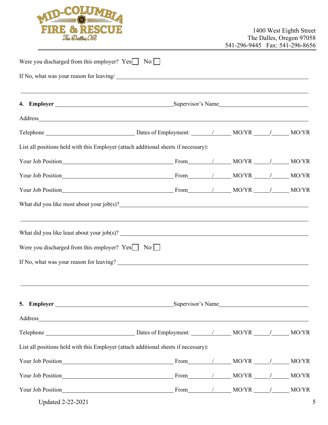

| Were you discharged from this employer? Yes No                                                                                                                                                                                                                                                                                                                                                                                                       |  |  |  |
|------------------------------------------------------------------------------------------------------------------------------------------------------------------------------------------------------------------------------------------------------------------------------------------------------------------------------------------------------------------------------------------------------------------------------------------------------|--|--|--|
| If No, what was your reason for leaving/                                                                                                                                                                                                                                                                                                                                                                                                             |  |  |  |
|                                                                                                                                                                                                                                                                                                                                                                                                                                                      |  |  |  |
|                                                                                                                                                                                                                                                                                                                                                                                                                                                      |  |  |  |
|                                                                                                                                                                                                                                                                                                                                                                                                                                                      |  |  |  |
| List all positions held with this Employer (attach additional sheets if necessary):                                                                                                                                                                                                                                                                                                                                                                  |  |  |  |
| Your Job Position MO/YR MO/YR MO/YR MO/YR                                                                                                                                                                                                                                                                                                                                                                                                            |  |  |  |
| Your Job Position MO/YR MO/YR MO/YR MO/YR MO/YR MO/YR MO/YR MO/YR MO/YR MO/YR MO/YR MO/YR MO/YR MO/YR MO/YR MO/YR MO/YR MO/YR MO/YR MO/YR MO/YR MO/YR MO/YR MO/YR MO/YR MO/YR MO/YR MO/YR MO/YR MO/YR MO/YR MO/YR MO/YR MO/YR                                                                                                                                                                                                                        |  |  |  |
| Your Job Position MO/YR MO/YR MO/YR MO/YR                                                                                                                                                                                                                                                                                                                                                                                                            |  |  |  |
| What did you like most about your job(s)?<br><u>Canadian subsets</u>                                                                                                                                                                                                                                                                                                                                                                                 |  |  |  |
| ,我们也不会有什么。""我们的人,我们也不会有什么?""我们的人,我们也不会有什么?""我们的人,我们也不会有什么?""我们的人,我们也不会有什么?""我们的人<br>What did you like least about your job(s)? $\qquad \qquad$ $\qquad \qquad$ $\qquad \qquad$ $\qquad \qquad$ $\qquad \qquad$ $\qquad \qquad$ $\qquad \qquad$ $\qquad \qquad$ $\qquad \qquad$ $\qquad \qquad$ $\qquad \qquad$ $\qquad \qquad$ $\qquad \qquad$ $\qquad$ $\qquad \qquad$ $\qquad \qquad$ $\qquad \qquad$ $\qquad$ $\qquad$ $\qquad$ $\qquad$ $\qquad$ |  |  |  |
| Were you discharged from this employer? $Yes$ No $\Box$                                                                                                                                                                                                                                                                                                                                                                                              |  |  |  |
| If No, what was your reason for leaving?                                                                                                                                                                                                                                                                                                                                                                                                             |  |  |  |
|                                                                                                                                                                                                                                                                                                                                                                                                                                                      |  |  |  |
|                                                                                                                                                                                                                                                                                                                                                                                                                                                      |  |  |  |
| Address_ the contract of the contract of the contract of the contract of the contract of the contract of the contract of the contract of the contract of the contract of the contract of the contract of the contract of the c                                                                                                                                                                                                                       |  |  |  |
|                                                                                                                                                                                                                                                                                                                                                                                                                                                      |  |  |  |
| List all positions held with this Employer (attach additional sheets if necessary):                                                                                                                                                                                                                                                                                                                                                                  |  |  |  |
| Your Job Position MO/YR MO/YR MO/YR MO/YR                                                                                                                                                                                                                                                                                                                                                                                                            |  |  |  |
| Your Job Position MO/YR MO/YR MO/YR MO/YR                                                                                                                                                                                                                                                                                                                                                                                                            |  |  |  |
| Your Job Position MO/YR MO/YR MO/YR MO/YR                                                                                                                                                                                                                                                                                                                                                                                                            |  |  |  |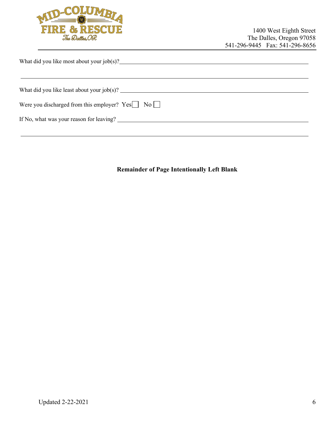

|  | What did you like most about your job(s)? |  |
|--|-------------------------------------------|--|
|  |                                           |  |

| What did you like least about your $job(s)$ ?           |  |
|---------------------------------------------------------|--|
| Were you discharged from this employer? $Yes$ No $\Box$ |  |
| If No, what was your reason for leaving?                |  |

**Remainder of Page Intentionally Left Blank**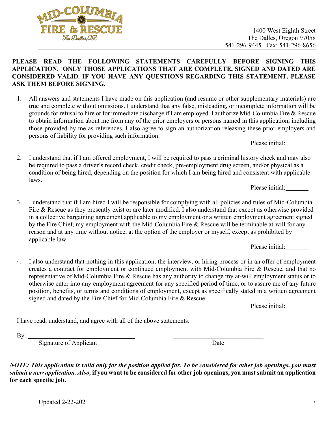1400 West Eighth Street The Dalles, Oregon 97058 541-296-9445 Fax: 541-296-8656

#### **PLEASE READ THE FOLLOWING STATEMENTS CAREFULLY BEFORE SIGNING THIS APPLICATION. ONLY THOSE APPLICATIONS THAT ARE COMPLETE, SIGNED AND DATED ARE CONSIDERED VALID. IF YOU HAVE ANY QUESTIONS REGARDING THIS STATEMENT, PLEASE ASK THEM BEFORE SIGNING.**

- 1. All answers and statements I have made on this application (and resume or other supplementary materials) are true and complete without omissions. I understand that any false, misleading, or incomplete information will be grounds for refusal to hire or for immediate discharge if I am employed. I authorize Mid-Columbia Fire & Rescue to obtain information about me from any of the prior employers or persons named in this application, including those provided by me as references. I also agree to sign an authorization releasing these prior employers and persons of liability for providing such information.
- 2. I understand that if I am offered employment, I will be required to pass a criminal history check and may also be required to pass a driver's record check, credit check, pre-employment drug screen, and/or physical as a condition of being hired, depending on the position for which I am being hired and consistent with applicable laws.

Please initial:

Please initial:

3. I understand that if I am hired I will be responsible for complying with all policies and rules of Mid-Columbia Fire & Rescue as they presently exist or are later modified. I also understand that except as otherwise provided in a collective bargaining agreement applicable to my employment or a written employment agreement signed by the Fire Chief, my employment with the Mid-Columbia Fire & Rescue will be terminable at-will for any reason and at any time without notice, at the option of the employer or myself, except as prohibited by applicable law.

Please initial:

4. I also understand that nothing in this application, the interview, or hiring process or in an offer of employment creates a contract for employment or continued employment with Mid-Columbia Fire & Rescue, and that no representative of Mid-Columbia Fire & Rescue has any authority to change my at-will employment status or to otherwise enter into any employment agreement for any specified period of time, or to assure me of any future position, benefits, or terms and conditions of employment, except as specifically stated in a written agreement signed and dated by the Fire Chief for Mid-Columbia Fire & Rescue.

Please initial:

I have read, understand, and agree with all of the above statements.

Signature of Applicant Date

*NOTE: This application is valid only for the position applied for. To be considered for other job openings, you must submit a new application. Also,* **if you want to be considered for other job openings, you must submit an application for each specific job.** 

By: \_\_\_\_\_\_\_\_\_\_\_\_\_\_\_\_\_\_\_\_\_\_\_\_\_\_\_\_

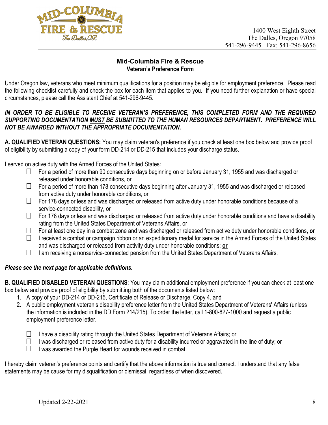

#### **Mid-Columbia Fire & Rescue Veteran's Preference Form**

Under Oregon law, veterans who meet minimum qualifications for a position may be eligible for employment preference. Please read the following checklist carefully and check the box for each item that applies to you. If you need further explanation or have special circumstances, please call the Assistant Chief at 541-296-9445.

#### IN ORDER TO BE ELIGIBLE TO RECEIVE VETERAN'S PREFERENCE, THIS COMPLETED FORM AND THE REQUIRED *SUPPORTING DOCUMENTATION MUST BE SUBMITTED TO THE HUMAN RESOURCES DEPARTMENT. PREFERENCE WILL NOT BE AWARDED WITHOUT THE APPROPRIATE DOCUMENTATION.*

**A. QUALIFIED VETERAN QUESTIONS:** You may claim veteran's preference if you check at least one box below and provide proof of eligibility by submitting a copy of your form DD-214 or DD-215 that includes your discharge status.

I served on active duty with the Armed Forces of the United States:

- For a period of more than 90 consecutive days beginning on or before January 31, 1955 and was discharged or  $\Box$ released under honorable conditions, or
- $\Box$ For a period of more than 178 consecutive days beginning after January 31, 1955 and was discharged or released from active duty under honorable conditions, or
- $\Box$ For 178 days or less and was discharged or released from active duty under honorable conditions because of a service-connected disability, or
- $\Box$ For 178 days or less and was discharged or released from active duty under honorable conditions and have a disability rating from the United States Department of Veterans Affairs, or
- $\overline{\phantom{a}}$ For at least one day in a combat zone and was discharged or released from active duty under honorable conditions, **or**
- $\Box$ I received a combat or campaign ribbon or an expeditionary medal for service in the Armed Forces of the United States and was discharged or released from activity duty under honorable conditions; **or**
- $\Box$ I am receiving a nonservice-connected pension from the United States Department of Veterans Affairs.

#### *Please see the next page for applicable definitions.*

**B. QUALIFIED DISABLED VETERAN QUESTIONS**: You may claim additional employment preference if you can check at least one box below and provide proof of eligibility by submitting both of the documents listed below:

- 1. A copy of your DD-214 or DD-215, Certificate of Release or Discharge, Copy 4, and
- 2. A public employment veteran's disability preference letter from the United States Department of Veterans' Affairs (unless the information is included in the DD Form 214/215). To order the letter, call 1-800-827-1000 and request a public employment preference letter.
	- $\Box$ I have a disability rating through the United States Department of Veterans Affairs; or
		- I was discharged or released from active duty for a disability incurred or aggravated in the line of duty; or
		- I was awarded the Purple Heart for wounds received in combat.

I hereby claim veteran's preference points and certify that the above information is true and correct. I understand that any false statements may be cause for my disqualification or dismissal, regardless of when discovered.

 $\Box$  $\Box$